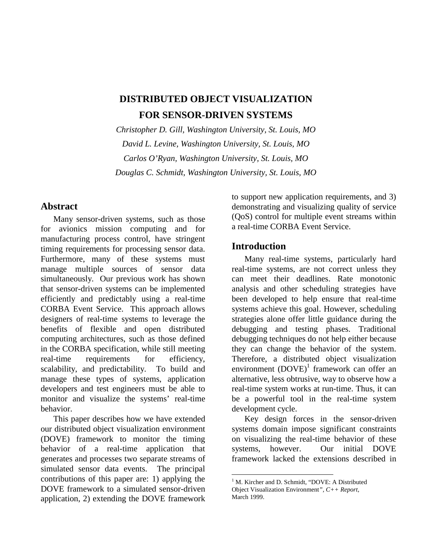# **DISTRIBUTED OBJECT VISUALIZATION FOR SENSOR-DRIVEN SYSTEMS**

*Christopher D. Gill, Washington University, St. Louis, MO David L. Levine, Washington University, St. Louis, MO Carlos O'Ryan, Washington University, St. Louis, MO Douglas C. Schmidt, Washington University, St. Louis, MO*

### **Abstract**

Many sensor-driven systems, such as those for avionics mission computing and for manufacturing process control, have stringent timing requirements for processing sensor data. Furthermore, many of these systems must manage multiple sources of sensor data simultaneously. Our previous work has shown that sensor-driven systems can be implemented efficiently and predictably using a real-time CORBA Event Service. This approach allows designers of real-time systems to leverage the benefits of flexible and open distributed computing architectures, such as those defined in the CORBA specification, while still meeting real-time requirements for efficiency, scalability, and predictability. To build and manage these types of systems, application developers and test engineers must be able to monitor and visualize the systems' real-time behavior.

This paper describes how we have extended our distributed object visualization environment (DOVE) framework to monitor the timing behavior of a real-time application that generates and processes two separate streams of simulated sensor data events. The principal contributions of this paper are: 1) applying the DOVE framework to a simulated sensor-driven application, 2) extending the DOVE framework

to support new application requirements, and 3) demonstrating and visualizing quality of service (QoS) control for multiple event streams within a real-time CORBA Event Service.

# **Introduction**

Many real-time systems, particularly hard real-time systems, are not correct unless they can meet their deadlines. Rate monotonic analysis and other scheduling strategies have been developed to help ensure that real-time systems achieve this goal. However, scheduling strategies alone offer little guidance during the debugging and testing phases. Traditional debugging techniques do not help either because they can change the behavior of the system. Therefore, a distributed object visualization environment  $(DOVE)^1$  framework can offer an alternative, less obtrusive, way to observe how a real-time system works at run-time. Thus, it can be a powerful tool in the real-time system development cycle.

Key design forces in the sensor-driven systems domain impose significant constraints on visualizing the real-time behavior of these systems, however. Our initial DOVE framework lacked the extensions described in

 $\overline{a}$ 

<sup>&</sup>lt;sup>1</sup> M. Kircher and D. Schmidt, "DOVE: A Distributed Object Visualization Environment*", C++ Report*, March 1999.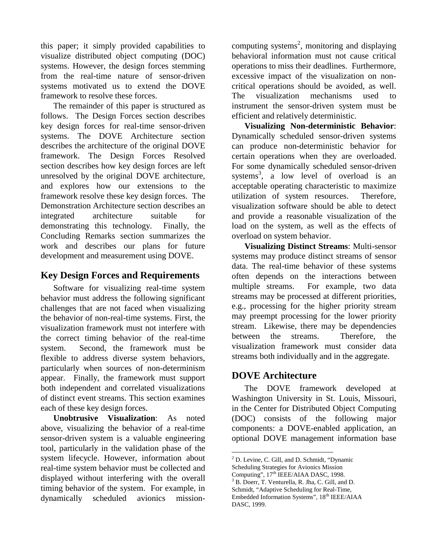this paper; it simply provided capabilities to visualize distributed object computing (DOC) systems. However, the design forces stemming from the real-time nature of sensor-driven systems motivated us to extend the DOVE framework to resolve these forces.

The remainder of this paper is structured as follows. The Design Forces section describes key design forces for real-time sensor-driven systems. The DOVE Architecture section describes the architecture of the original DOVE framework. The Design Forces Resolved section describes how key design forces are left unresolved by the original DOVE architecture, and explores how our extensions to the framework resolve these key design forces. The Demonstration Architecture section describes an integrated architecture suitable for demonstrating this technology. Finally, the Concluding Remarks section summarizes the work and describes our plans for future development and measurement using DOVE.

# **Key Design Forces and Requirements**

Software for visualizing real-time system behavior must address the following significant challenges that are not faced when visualizing the behavior of non-real-time systems. First, the visualization framework must not interfere with the correct timing behavior of the real-time system. Second, the framework must be flexible to address diverse system behaviors, particularly when sources of non-determinism appear. Finally, the framework must support both independent and correlated visualizations of distinct event streams. This section examines each of these key design forces.

**Unobtrusive Visualization**: As noted above, visualizing the behavior of a real-time sensor-driven system is a valuable engineering tool, particularly in the validation phase of the system lifecycle. However, information about real-time system behavior must be collected and displayed without interfering with the overall timing behavior of the system. For example, in dynamically scheduled avionics mission-

computing systems<sup>2</sup>, monitoring and displaying behavioral information must not cause critical operations to miss their deadlines. Furthermore, excessive impact of the visualization on noncritical operations should be avoided, as well. The visualization mechanisms used to instrument the sensor-driven system must be efficient and relatively deterministic.

**Visualizing Non-deterministic Behavior**: Dynamically scheduled sensor-driven systems can produce non-deterministic behavior for certain operations when they are overloaded. For some dynamically scheduled sensor-driven systems<sup>3</sup>, a low level of overload is an acceptable operating characteristic to maximize utilization of system resources. Therefore, visualization software should be able to detect and provide a reasonable visualization of the load on the system, as well as the effects of overload on system behavior.

**Visualizing Distinct Streams**: Multi-sensor systems may produce distinct streams of sensor data. The real-time behavior of these systems often depends on the interactions between multiple streams. For example, two data streams may be processed at different priorities, e.g., processing for the higher priority stream may preempt processing for the lower priority stream. Likewise, there may be dependencies between the streams. Therefore, the visualization framework must consider data streams both individually and in the aggregate.

# **DOVE Architecture**

 $\overline{a}$ 

The DOVE framework developed at Washington University in St. Louis, Missouri, in the Center for Distributed Object Computing (DOC) consists of the following major components: a DOVE-enabled application, an optional DOVE management information base

<sup>&</sup>lt;sup>2</sup> D. Levine, C. Gill, and D. Schmidt, "Dynamic

Scheduling Strategies for Avionics Mission

Computing", 17<sup>th</sup> IEEE/AIAA DASC, 1998. <sup>3</sup> B. Doerr, T. Venturella, R. Jha, C. Gill, and D. Schmidt, "Adaptive Scheduling for Real-Time, Embedded Information Systems", 18th IEEE/AIAA DASC, 1999.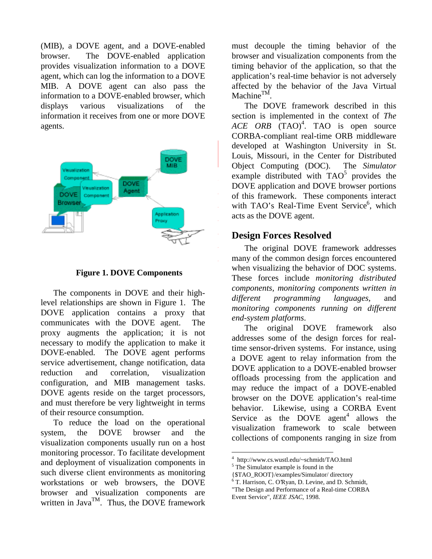(MIB), a DOVE agent, and a DOVE-enabled browser. The DOVE-enabled application provides visualization information to a DOVE agent, which can log the information to a DOVE MIB. A DOVE agent can also pass the information to a DOVE-enabled browser, which displays various visualizations of the information it receives from one or more DOVE agents.



#### **Figure 1. DOVE Components**

The components in DOVE and their highlevel relationships are shown in Figure 1. The DOVE application contains a proxy that communicates with the DOVE agent. The proxy augments the application; it is not necessary to modify the application to make it DOVE-enabled. The DOVE agent performs service advertisement, change notification, data reduction and correlation, visualization configuration, and MIB management tasks. DOVE agents reside on the target processors, and must therefore be very lightweight in terms of their resource consumption.

To reduce the load on the operational system, the DOVE browser and the visualization components usually run on a host monitoring processor. To facilitate development and deployment of visualization components in such diverse client environments as monitoring workstations or web browsers, the DOVE browser and visualization components are written in Java<sup>TM</sup>. Thus, the DOVE framework must decouple the timing behavior of the browser and visualization components from the timing behavior of the application, so that the application's real-time behavior is not adversely affected by the behavior of the Java Virtual  $M$ achine $<sup>TM</sup>$ </sup>

The DOVE framework described in this section is implemented in the context of *The* ACE ORB (TAO)<sup>4</sup>. TAO is open source CORBA-compliant real-time ORB middleware developed at Washington University in St. Louis, Missouri, in the Center for Distributed Object Computing (DOC). The *Simulator* example distributed with  $TAO<sup>5</sup>$  provides the DOVE application and DOVE browser portions of this framework. These components interact with TAO's Real-Time Event Service<sup>6</sup>, which acts as the DOVE agent.

#### **Design Forces Resolved**

The original DOVE framework addresses many of the common design forces encountered when visualizing the behavior of DOC systems. These forces include *monitoring distributed components, monitoring components written in different programming languages,* and *monitoring components running on different end-system platforms*.

The original DOVE framework also addresses some of the design forces for realtime sensor-driven systems. For instance, using a DOVE agent to relay information from the DOVE application to a DOVE-enabled browser offloads processing from the application and may reduce the impact of a DOVE-enabled browser on the DOVE application's real-time behavior. Likewise, using a CORBA Event Service as the DOVE agent<sup>4</sup> allows the visualization framework to scale between collections of components ranging in size from

 $\overline{a}$ 

<sup>4</sup> http://www.cs.wustl.edu/~schmidt/TAO.html

<sup>&</sup>lt;sup>5</sup> The Simulator example is found in the

<sup>{\$</sup>TAO\_ROOT}/examples/Simulator/ directory

<sup>6</sup> T. Harrison, C. O'Ryan, D. Levine, and D. Schmidt,

<sup>&</sup>quot;The Design and Performance of a Real-time CORBA Event Service", *IEEE JSAC*, 1998.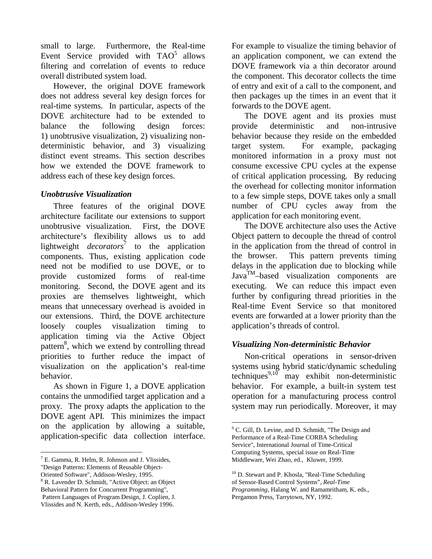small to large. Furthermore, the Real-time Event Service provided with  $TAO<sup>5</sup>$  allows filtering and correlation of events to reduce overall distributed system load.

However, the original DOVE framework does not address several key design forces for real-time systems. In particular, aspects of the DOVE architecture had to be extended to balance the following design forces: 1) unobtrusive visualization, 2) visualizing nondeterministic behavior, and 3) visualizing distinct event streams. This section describes how we extended the DOVE framework to address each of these key design forces.

#### *Unobtrusive Visualization*

Three features of the original DOVE architecture facilitate our extensions to support unobtrusive visualization. First, the DOVE architecture's flexibility allows us to add lightweight *decorators*<sup>7</sup> to the application components. Thus, existing application code need not be modified to use DOVE, or to provide customized forms of real-time monitoring. Second, the DOVE agent and its proxies are themselves lightweight, which means that unnecessary overhead is avoided in our extensions. Third, the DOVE architecture loosely couples visualization timing to application timing via the Active Object pattern<sup>8</sup>, which we extend by controlling thread priorities to further reduce the impact of visualization on the application's real-time behavior.

As shown in Figure 1, a DOVE application contains the unmodified target application and a proxy. The proxy adapts the application to the DOVE agent API. This minimizes the impact on the application by allowing a suitable, application-specific data collection interface.

For example to visualize the timing behavior of an application component, we can extend the DOVE framework via a thin decorator around the component. This decorator collects the time of entry and exit of a call to the component, and then packages up the times in an event that it forwards to the DOVE agent.

The DOVE agent and its proxies must provide deterministic and non-intrusive behavior because they reside on the embedded target system. For example, packaging monitored information in a proxy must not consume excessive CPU cycles at the expense of critical application processing. By reducing the overhead for collecting monitor information to a few simple steps, DOVE takes only a small number of CPU cycles away from the application for each monitoring event.

The DOVE architecture also uses the Active Object pattern to decouple the thread of control in the application from the thread of control in the browser. This pattern prevents timing delays in the application due to blocking while  $Java^{TM}-based$  visualization components are executing. We can reduce this impact even further by configuring thread priorities in the Real-time Event Service so that monitored events are forwarded at a lower priority than the application's threads of control.

## *Visualizing Non-deterministic Behavior*

Non-critical operations in sensor-driven systems using hybrid static/dynamic scheduling techniques $9,10$  may exhibit non-deterministic behavior. For example, a built-in system test operation for a manufacturing process control system may run periodically. Moreover, it may

 $\overline{a}$ 

<sup>&</sup>lt;u>.</u>  $<sup>7</sup>$  E. Gamma, R. Helm, R. Johnson and J. Vlissides,</sup>

<sup>&</sup>quot;Design Patterns: Elements of Reusable Object-Oriented Software", Addison-Wesley, 1995.

<sup>&</sup>lt;sup>8</sup> R. Lavender D. Schmidt, "Active Object: an Object Behavioral Pattern for Concurrent Programming", Pattern Languages of Program Design, J. Coplien, J. Vlissides and N. Kerth, eds., Addison-Wesley 1996.

<sup>&</sup>lt;sup>9</sup> C. Gill, D. Levine, and D. Schmidt, "The Design and Performance of a Real-Time CORBA Scheduling Service", International Journal of Time-Critical Computing Systems, special issue on Real-Time Middleware, Wei Zhao, ed., Kluwer, 1999.

<sup>&</sup>lt;sup>10</sup> D. Stewart and P. Khosla, "Real-Time Scheduling of Sensor-Based Control Systems", *Real-Time Programming*, Halang W. and Ramamritham, K. eds., Pergamon Press, Tarrytown, NY, 1992.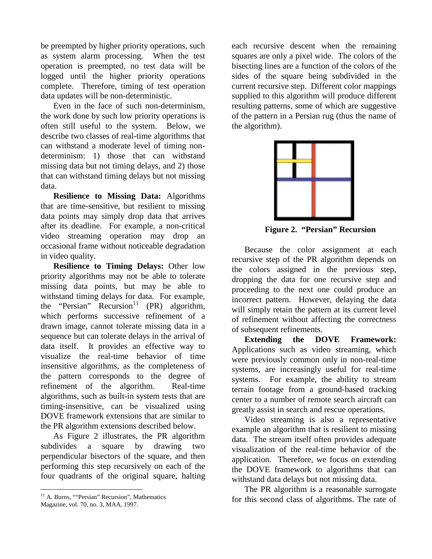be preempted by higher priority operations, such as system alarm processing. When the test operation is preempted, no test data will be logged until the higher priority operations complete. Therefore, timing of test operation data updates will be non-deterministic.

Even in the face of such non-determinism, the work done by such low priority operations is often still useful to the system. Below, we describe two classes of real-time algorithms that can withstand a moderate level of timing nondeterminism: 1) those that can withstand missing data but not timing delays, and 2) those that can withstand timing delays but not missing data.

**Resilience to Missing Data:** Algorithms that are time-sensitive, but resilient to missing data points may simply drop data that arrives after its deadline. For example, a non-critical video streaming operation may drop an occasional frame without noticeable degradation in video quality.

**Resilience to Timing Delays:** Other low priority algorithms may not be able to tolerate missing data points, but may be able to withstand timing delays for data. For example, the "Persian"  $Recursion<sup>11</sup>$  (PR) algorithm, which performs successive refinement of a drawn image, cannot tolerate missing data in a sequence but can tolerate delays in the arrival of data itself. It provides an effective way to visualize the real-time behavior of time insensitive algorithms, as the completeness of the pattern corresponds to the degree of refinement of the algorithm. Real-time algorithms, such as built-in system tests that are timing-insensitive, can be visualized using DOVE framework extensions that are similar to the PR algorithm extensions described below.

As Figure 2 illustrates, the PR algorithm subdivides a square by drawing two perpendicular bisectors of the square, and then performing this step recursively on each of the four quadrants of the original square, halting each recursive descent when the remaining squares are only a pixel wide. The colors of the bisecting lines are a function of the colors of the sides of the square being subdivided in the current recursive step. Different color mappings supplied to this algorithm will produce different resulting patterns, some of which are suggestive of the pattern in a Persian rug (thus the name of the algorithm).



**Figure 2. "Persian" Recursion**

Because the color assignment at each recursive step of the PR algorithm depends on the colors assigned in the previous step, dropping the data for one recursive step and proceeding to the next one could produce an incorrect pattern. However, delaying the data will simply retain the pattern at its current level of refinement without affecting the correctness of subsequent refinements.

**Extending the DOVE Framework:** Applications such as video streaming, which were previously common only in non-real-time systems, are increasingly useful for real-time systems. For example, the ability to stream terrain footage from a ground-based tracking center to a number of remote search aircraft can greatly assist in search and rescue operations.

Video streaming is also a representative example an algorithm that is resilient to missing data. The stream itself often provides adequate visualization of the real-time behavior of the application. Therefore, we focus on extending the DOVE framework to algorithms that can withstand data delays but not missing data.

The PR algorithm is a reasonable surrogate for this second class of algorithms. The rate of

<sup>&</sup>lt;u>.</u> <sup>11</sup> A. Burns, ""Persian" Recursion", Mathematics

Magazine, vol. 70, no. 3, MAA, 1997.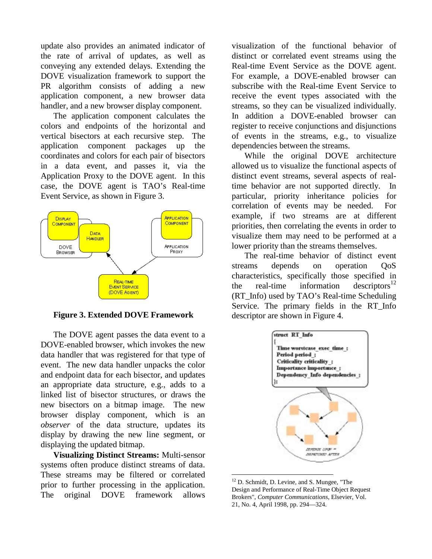update also provides an animated indicator of the rate of arrival of updates, as well as conveying any extended delays. Extending the DOVE visualization framework to support the PR algorithm consists of adding a new application component, a new browser data handler, and a new browser display component.

The application component calculates the colors and endpoints of the horizontal and vertical bisectors at each recursive step. The application component packages up the coordinates and colors for each pair of bisectors in a data event, and passes it, via the Application Proxy to the DOVE agent. In this case, the DOVE agent is TAO's Real-time Event Service, as shown in Figure 3.



**Figure 3. Extended DOVE Framework**

The DOVE agent passes the data event to a DOVE-enabled browser, which invokes the new data handler that was registered for that type of event. The new data handler unpacks the color and endpoint data for each bisector, and updates an appropriate data structure, e.g., adds to a linked list of bisector structures, or draws the new bisectors on a bitmap image. The new browser display component, which is an *observer* of the data structure, updates its display by drawing the new line segment, or displaying the updated bitmap.

**Visualizing Distinct Streams:** Multi-sensor systems often produce distinct streams of data. These streams may be filtered or correlated prior to further processing in the application. The original DOVE framework allows

visualization of the functional behavior of distinct or correlated event streams using the Real-time Event Service as the DOVE agent. For example, a DOVE-enabled browser can subscribe with the Real-time Event Service to receive the event types associated with the streams, so they can be visualized individually. In addition a DOVE-enabled browser can register to receive conjunctions and disjunctions of events in the streams, e.g., to visualize dependencies between the streams.

While the original DOVE architecture allowed us to visualize the functional aspects of distinct event streams, several aspects of realtime behavior are not supported directly. In particular, priority inheritance policies for correlation of events may be needed. For example, if two streams are at different priorities, then correlating the events in order to visualize them may need to be performed at a lower priority than the streams themselves.

The real-time behavior of distinct event streams depends on operation QoS characteristics, specifically those specified in the real-time information descriptors<sup>12</sup> (RT\_Info) used by TAO's Real-time Scheduling Service. The primary fields in the RT\_Info descriptor are shown in Figure 4.



 $\overline{a}$ 12 D. Schmidt, D. Levine, and S. Mungee, "The Design and Performance of Real-Time Object Request Brokers", *Computer Communications*, Elsevier, Vol. 21, No. 4, April 1998, pp. 294—324.